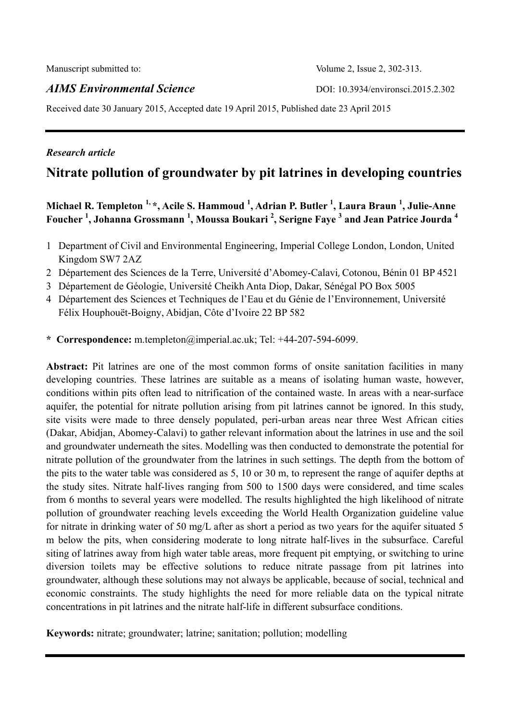Manuscript submitted to: Volume 2, Issue 2, 302-313.

## *AIMS Environmental Science* DOI: 10.3934/environsci.2015.2.302

Received date 30 January 2015, Accepted date 19 April 2015, Published date 23 April 2015

## *Research article*

# **Nitrate pollution of groundwater by pit latrines in developing countries**

**Michael R. Templeton 1, \*, Acile S. Hammoud 1 , Adrian P. Butler 1 , Laura Braun 1 , Julie-Anne Foucher 1 , Johanna Grossmann 1 , Moussa Boukari 2 , Serigne Faye 3 and Jean Patrice Jourda 4**

- 1 Department of Civil and Environmental Engineering, Imperial College London, London, United Kingdom SW7 2AZ
- 2 Département des Sciences de la Terre, Université d'Abomey-Calavi, Cotonou, Bénin 01 BP 4521
- 3 Département de Géologie, Université Cheikh Anta Diop, Dakar, Sénégal PO Box 5005
- 4 Département des Sciences et Techniques de l'Eau et du Génie de l'Environnement, Université Félix Houphouët-Boigny, Abidjan, Côte d'Ivoire 22 BP 582
- **\* Correspondence:** m.templeton@imperial.ac.uk; Tel: +44-207-594-6099.

Abstract: Pit latrines are one of the most common forms of onsite sanitation facilities in many developing countries. These latrines are suitable as a means of isolating human waste, however, conditions within pits often lead to nitrification of the contained waste. In areas with a near-surface aquifer, the potential for nitrate pollution arising from pit latrines cannot be ignored. In this study, site visits were made to three densely populated, peri-urban areas near three West African cities (Dakar, Abidjan, Abomey-Calavi) to gather relevant information about the latrines in use and the soil and groundwater underneath the sites. Modelling was then conducted to demonstrate the potential for nitrate pollution of the groundwater from the latrines in such settings. The depth from the bottom of the pits to the water table was considered as 5, 10 or 30 m, to represent the range of aquifer depths at the study sites. Nitrate half-lives ranging from 500 to 1500 days were considered, and time scales from 6 months to several years were modelled. The results highlighted the high likelihood of nitrate pollution of groundwater reaching levels exceeding the World Health Organization guideline value for nitrate in drinking water of 50 mg/L after as short a period as two years for the aquifer situated 5 m below the pits, when considering moderate to long nitrate half-lives in the subsurface. Careful siting of latrines away from high water table areas, more frequent pit emptying, or switching to urine diversion toilets may be effective solutions to reduce nitrate passage from pit latrines into groundwater, although these solutions may not always be applicable, because of social, technical and economic constraints. The study highlights the need for more reliable data on the typical nitrate concentrations in pit latrines and the nitrate half-life in different subsurface conditions.

**Keywords:** nitrate; groundwater; latrine; sanitation; pollution; modelling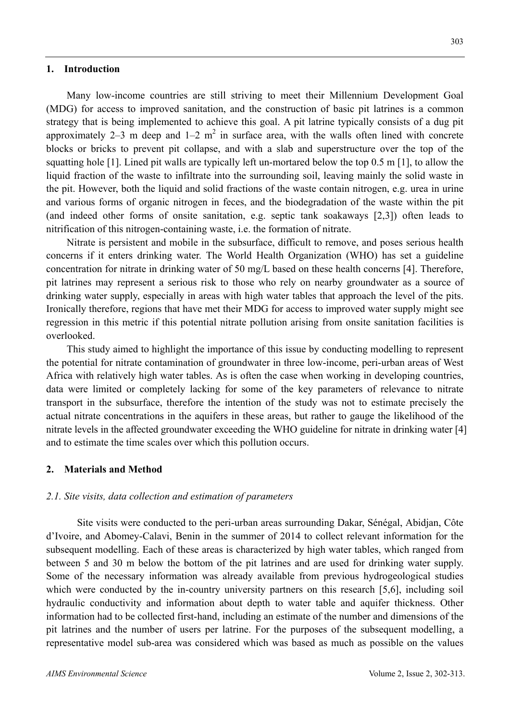Many low-income countries are still striving to meet their Millennium Development Goal (MDG) for access to improved sanitation, and the construction of basic pit latrines is a common strategy that is being implemented to achieve this goal. A pit latrine typically consists of a dug pit approximately 2-3 m deep and 1-2  $m^2$  in surface area, with the walls often lined with concrete blocks or bricks to prevent pit collapse, and with a slab and superstructure over the top of the squatting hole [1]. Lined pit walls are typically left un-mortared below the top 0.5 m [1], to allow the liquid fraction of the waste to infiltrate into the surrounding soil, leaving mainly the solid waste in the pit. However, both the liquid and solid fractions of the waste contain nitrogen, e.g. urea in urine and various forms of organic nitrogen in feces, and the biodegradation of the waste within the pit (and indeed other forms of onsite sanitation, e.g. septic tank soakaways [2,3]) often leads to nitrification of this nitrogen-containing waste, i.e. the formation of nitrate.

Nitrate is persistent and mobile in the subsurface, difficult to remove, and poses serious health concerns if it enters drinking water. The World Health Organization (WHO) has set a guideline concentration for nitrate in drinking water of 50 mg/L based on these health concerns [4]. Therefore, pit latrines may represent a serious risk to those who rely on nearby groundwater as a source of drinking water supply, especially in areas with high water tables that approach the level of the pits. Ironically therefore, regions that have met their MDG for access to improved water supply might see regression in this metric if this potential nitrate pollution arising from onsite sanitation facilities is overlooked.

This study aimed to highlight the importance of this issue by conducting modelling to represent the potential for nitrate contamination of groundwater in three low-income, peri-urban areas of West Africa with relatively high water tables. As is often the case when working in developing countries, data were limited or completely lacking for some of the key parameters of relevance to nitrate transport in the subsurface, therefore the intention of the study was not to estimate precisely the actual nitrate concentrations in the aquifers in these areas, but rather to gauge the likelihood of the nitrate levels in the affected groundwater exceeding the WHO guideline for nitrate in drinking water [4] and to estimate the time scales over which this pollution occurs.

#### **2. Materials and Method**

#### *2.1. Site visits, data collection and estimation of parameters*

Site visits were conducted to the peri-urban areas surrounding Dakar, Sénégal, Abidjan, Côte d'Ivoire, and Abomey-Calavi, Benin in the summer of 2014 to collect relevant information for the subsequent modelling. Each of these areas is characterized by high water tables, which ranged from between 5 and 30 m below the bottom of the pit latrines and are used for drinking water supply. Some of the necessary information was already available from previous hydrogeological studies which were conducted by the in-country university partners on this research [5,6], including soil hydraulic conductivity and information about depth to water table and aquifer thickness. Other information had to be collected first-hand, including an estimate of the number and dimensions of the pit latrines and the number of users per latrine. For the purposes of the subsequent modelling, a representative model sub-area was considered which was based as much as possible on the values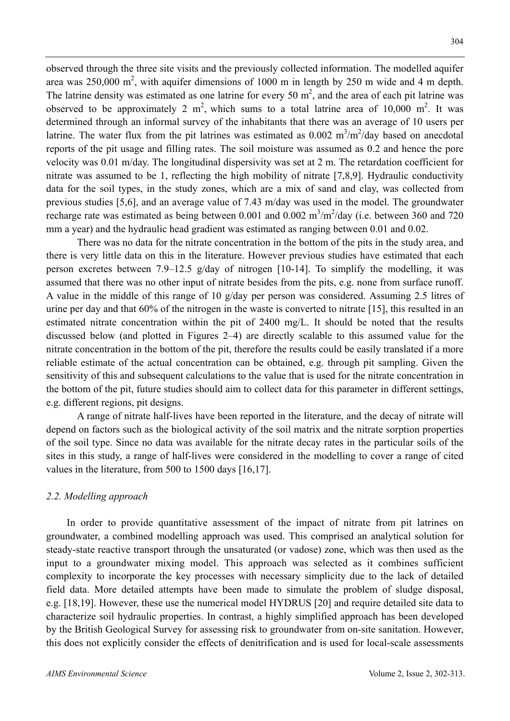observed through the three site visits and the previously collected information. The modelled aquifer area was  $250,000$  m<sup>2</sup>, with aquifer dimensions of 1000 m in length by 250 m wide and 4 m depth. The latrine density was estimated as one latrine for every 50  $m<sup>2</sup>$ , and the area of each pit latrine was observed to be approximately 2  $m^2$ , which sums to a total latrine area of 10,000 m<sup>2</sup>. It was determined through an informal survey of the inhabitants that there was an average of 10 users per latrine. The water flux from the pit latrines was estimated as  $0.002 \text{ m}^3/\text{m}^2/\text{day}$  based on anecdotal reports of the pit usage and filling rates. The soil moisture was assumed as 0.2 and hence the pore velocity was 0.01 m/day. The longitudinal dispersivity was set at 2 m. The retardation coefficient for nitrate was assumed to be 1, reflecting the high mobility of nitrate [7,8,9]. Hydraulic conductivity data for the soil types, in the study zones, which are a mix of sand and clay, was collected from previous studies [5,6], and an average value of 7.43 m/day was used in the model. The groundwater recharge rate was estimated as being between 0.001 and 0.002  $\text{m}^3/\text{m}^2/\text{day}$  (i.e. between 360 and 720 mm a year) and the hydraulic head gradient was estimated as ranging between 0.01 and 0.02.

There was no data for the nitrate concentration in the bottom of the pits in the study area, and there is very little data on this in the literature. However previous studies have estimated that each person excretes between 7.9–12.5 g/day of nitrogen  $[10-14]$ . To simplify the modelling, it was assumed that there was no other input of nitrate besides from the pits, e.g. none from surface runoff. A value in the middle of this range of 10 g/day per person was considered. Assuming 2.5 litres of urine per day and that 60% of the nitrogen in the waste is converted to nitrate [15], this resulted in an estimated nitrate concentration within the pit of 2400 mg/L. It should be noted that the results discussed below (and plotted in Figures 2–4) are directly scalable to this assumed value for the nitrate concentration in the bottom of the pit, therefore the results could be easily translated if a more reliable estimate of the actual concentration can be obtained, e.g. through pit sampling. Given the sensitivity of this and subsequent calculations to the value that is used for the nitrate concentration in the bottom of the pit, future studies should aim to collect data for this parameter in different settings, e.g. different regions, pit designs.

A range of nitrate half-lives have been reported in the literature, and the decay of nitrate will depend on factors such as the biological activity of the soil matrix and the nitrate sorption properties of the soil type. Since no data was available for the nitrate decay rates in the particular soils of the sites in this study, a range of half-lives were considered in the modelling to cover a range of cited values in the literature, from 500 to 1500 days [16,17].

#### *2.2. Modelling approach*

In order to provide quantitative assessment of the impact of nitrate from pit latrines on groundwater, a combined modelling approach was used. This comprised an analytical solution for steady-state reactive transport through the unsaturated (or vadose) zone, which was then used as the input to a groundwater mixing model. This approach was selected as it combines sufficient complexity to incorporate the key processes with necessary simplicity due to the lack of detailed field data. More detailed attempts have been made to simulate the problem of sludge disposal, e.g. [18,19]. However, these use the numerical model HYDRUS [20] and require detailed site data to characterize soil hydraulic properties. In contrast, a highly simplified approach has been developed by the British Geological Survey for assessing risk to groundwater from on-site sanitation. However, this does not explicitly consider the effects of denitrification and is used for local-scale assessments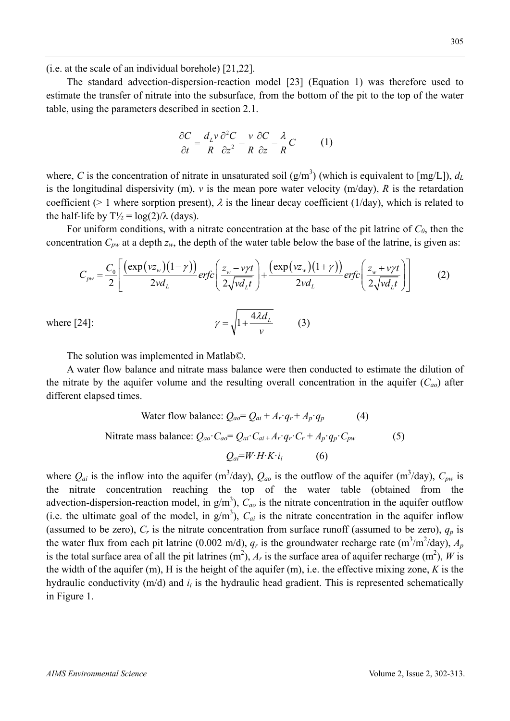(i.e. at the scale of an individual borehole) [21,22].

The standard advection-dispersion-reaction model [23] (Equation 1) was therefore used to estimate the transfer of nitrate into the subsurface, from the bottom of the pit to the top of the water table, using the parameters described in section 2.1.

$$
\frac{\partial C}{\partial t} = \frac{d_L v}{R} \frac{\partial^2 C}{\partial z^2} - \frac{v}{R} \frac{\partial C}{\partial z} - \frac{\lambda}{R} C \tag{1}
$$

where, C is the concentration of nitrate in unsaturated soil  $(g/m^3)$  (which is equivalent to [mg/L]),  $d_L$ is the longitudinal dispersivity (m), *v* is the mean pore water velocity (m/day), *R* is the retardation coefficient ( $> 1$  where sorption present),  $\lambda$  is the linear decay coefficient (1/day), which is related to the half-life by  $T\frac{1}{2} = \log(2)/\lambda$  (days).

For uniform conditions, with a nitrate concentration at the base of the pit latrine of  $C_0$ , then the concentration  $C_{pw}$  at a depth  $z_w$ , the depth of the water table below the base of the latrine, is given as:

$$
C_{pw} = \frac{C_0}{2} \left[ \frac{\left( \exp(vz_w)(1-\gamma) \right)}{2vd_L} \, erfc\left(\frac{z_w - v\gamma t}{2\sqrt{vd_L t}}\right) + \frac{\left( \exp(vz_w)(1+\gamma) \right)}{2vd_L} \, erfc\left(\frac{z_w + v\gamma t}{2\sqrt{vd_L t}}\right) \right] \tag{2}
$$
\n
$$
\text{where [24]:} \qquad \gamma = \sqrt{1 + \frac{4\lambda d_L}{v}} \tag{3}
$$

The solution was implemented in Matlab©.

A water flow balance and nitrate mass balance were then conducted to estimate the dilution of the nitrate by the aquifer volume and the resulting overall concentration in the aquifer  $(C_{a0})$  after different elapsed times.

Water flow balance: 
$$
Q_{ao} = Q_{ai} + A_r \cdot q_r + A_p \cdot q_p
$$
 (4)  
Nitrate mass balance:  $Q_{ao} \cdot C_{ao} = Q_{ai} \cdot C_{ai} + A_r \cdot q_r \cdot C_r + A_p \cdot q_p \cdot C_{pw}$  (5)  
 $Q_{ai} = W \cdot H \cdot K \cdot i_i$  (6)

where  $Q_{ai}$  is the inflow into the aquifer (m<sup>3</sup>/day),  $Q_{ao}$  is the outflow of the aquifer (m<sup>3</sup>/day),  $C_{pw}$  is the nitrate concentration reaching the top of the water table (obtained from the advection-dispersion-reaction model, in  $g/m<sup>3</sup>$ ),  $C_{ao}$  is the nitrate concentration in the aquifer outflow (i.e. the ultimate goal of the model, in  $g/m<sup>3</sup>$ ),  $C_{ai}$  is the nitrate concentration in the aquifer inflow (assumed to be zero),  $C_r$  is the nitrate concentration from surface runoff (assumed to be zero),  $q_p$  is the water flux from each pit latrine (0.002 m/d),  $q_r$  is the groundwater recharge rate (m<sup>3</sup>/m<sup>2</sup>/day),  $A_p$ is the total surface area of all the pit latrines  $(m^2)$ ,  $A_r$  is the surface area of aquifer recharge  $(m^2)$ , W is the width of the aquifer (m), H is the height of the aquifer (m), i.e. the effective mixing zone, *K* is the hydraulic conductivity  $(m/d)$  and  $i_i$  is the hydraulic head gradient. This is represented schematically in Figure 1.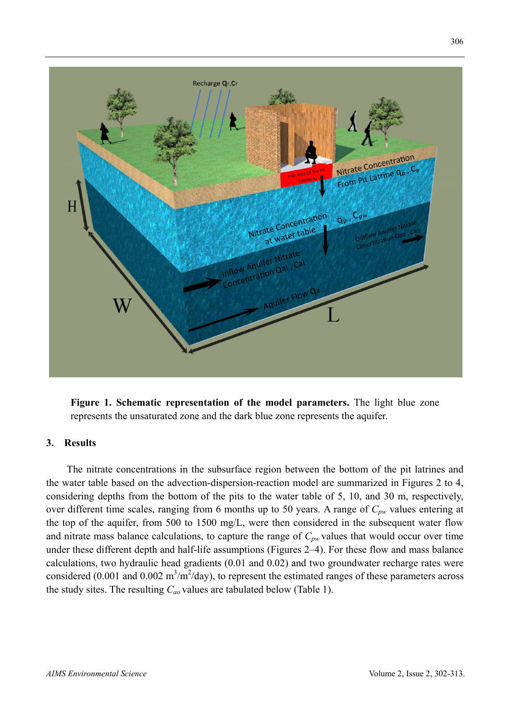

**Figure 1. Schematic representation of the model parameters.** The light blue zone represents the unsaturated zone and the dark blue zone represents the aquifer.

#### **3. Results**

The nitrate concentrations in the subsurface region between the bottom of the pit latrines and the water table based on the advection-dispersion-reaction model are summarized in Figures 2 to 4, considering depths from the bottom of the pits to the water table of 5, 10, and 30 m, respectively, over different time scales, ranging from 6 months up to 50 years. A range of  $C_{pw}$  values entering at the top of the aquifer, from 500 to 1500 mg/L, were then considered in the subsequent water flow and nitrate mass balance calculations, to capture the range of  $C_{pw}$  values that would occur over time under these different depth and half-life assumptions (Figures 2–4). For these flow and mass balance calculations, two hydraulic head gradients (0.01 and 0.02) and two groundwater recharge rates were considered (0.001 and 0.002  $\text{m}^3/\text{m}^2/\text{day}$ ), to represent the estimated ranges of these parameters across the study sites. The resulting *Cao* values are tabulated below (Table 1).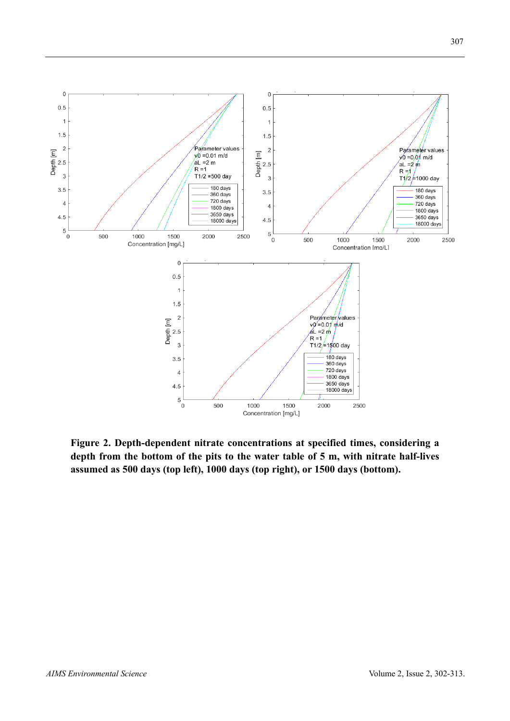

**Figure 2. Depth-dependent nitrate concentrations at specified times, considering a depth from the bottom of the pits to the water table of 5 m, with nitrate half-lives assumed as 500 days (top left), 1000 days (top right), or 1500 days (bottom).**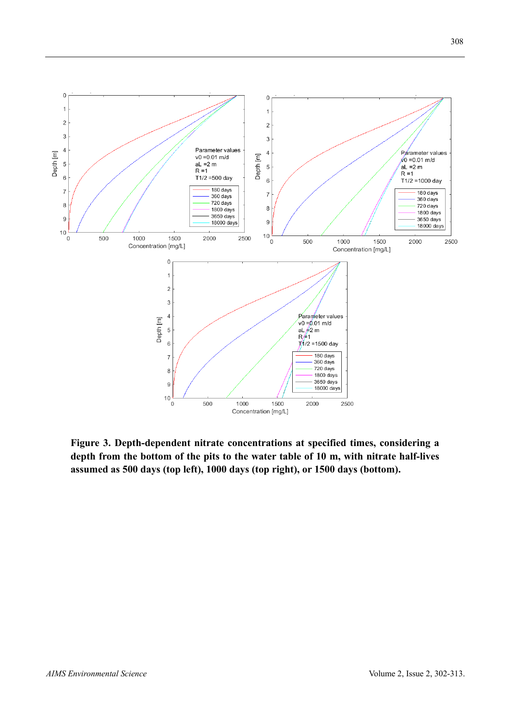

**Figure 3. Depth-dependent nitrate concentrations at specified times, considering a depth from the bottom of the pits to the water table of 10 m, with nitrate half-lives assumed as 500 days (top left), 1000 days (top right), or 1500 days (bottom).**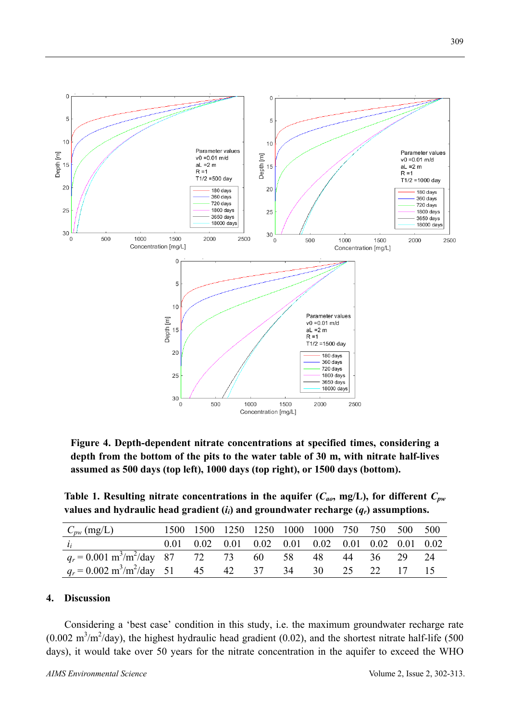

**Figure 4. Depth-dependent nitrate concentrations at specified times, considering a depth from the bottom of the pits to the water table of 30 m, with nitrate half-lives assumed as 500 days (top left), 1000 days (top right), or 1500 days (bottom).** 

**Table 1. Resulting nitrate concentrations in the aquifer**  $(C_{a0}, mg/L)$ **, for different**  $C_{pw}$ **values and hydraulic head gradient (***ii***) and groundwater recharge (***qr***) assumptions.** 

| $C_{pw}$ (mg/L)                                                               |  | 1500 1500 1250 1250 1000 1000 750 750 500 500                         |  |  |  |
|-------------------------------------------------------------------------------|--|-----------------------------------------------------------------------|--|--|--|
| $\hat{l}_i$                                                                   |  | $0.01$ $0.02$ $0.01$ $0.02$ $0.01$ $0.02$ $0.01$ $0.02$ $0.01$ $0.02$ |  |  |  |
| $q_r = 0.001 \text{ m}^3/\text{m}^2/\text{day}$ 87 72 73 60 58 48 44 36 29 24 |  |                                                                       |  |  |  |
| $q_r = 0.002 \text{ m}^3/\text{m}^2/\text{day}$ 51 45 42 37 34 30 25 22 17 15 |  |                                                                       |  |  |  |

### **4. Discussion**

Considering a 'best case' condition in this study, i.e. the maximum groundwater recharge rate  $(0.002 \text{ m}^3/\text{m}^2/\text{day})$ , the highest hydraulic head gradient (0.02), and the shortest nitrate half-life (500 days), it would take over 50 years for the nitrate concentration in the aquifer to exceed the WHO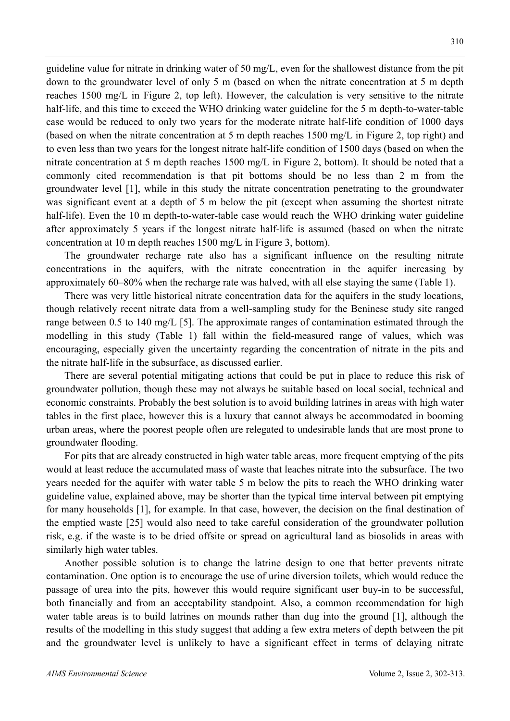guideline value for nitrate in drinking water of 50 mg/L, even for the shallowest distance from the pit down to the groundwater level of only 5 m (based on when the nitrate concentration at 5 m depth reaches 1500 mg/L in Figure 2, top left). However, the calculation is very sensitive to the nitrate half-life, and this time to exceed the WHO drinking water guideline for the 5 m depth-to-water-table case would be reduced to only two years for the moderate nitrate half-life condition of 1000 days (based on when the nitrate concentration at 5 m depth reaches 1500 mg/L in Figure 2, top right) and to even less than two years for the longest nitrate half-life condition of 1500 days (based on when the nitrate concentration at 5 m depth reaches 1500 mg/L in Figure 2, bottom). It should be noted that a commonly cited recommendation is that pit bottoms should be no less than 2 m from the groundwater level [1], while in this study the nitrate concentration penetrating to the groundwater was significant event at a depth of 5 m below the pit (except when assuming the shortest nitrate half-life). Even the 10 m depth-to-water-table case would reach the WHO drinking water guideline after approximately 5 years if the longest nitrate half-life is assumed (based on when the nitrate concentration at 10 m depth reaches 1500 mg/L in Figure 3, bottom).

The groundwater recharge rate also has a significant influence on the resulting nitrate concentrations in the aquifers, with the nitrate concentration in the aquifer increasing by approximately 60‒80% when the recharge rate was halved, with all else staying the same (Table 1).

There was very little historical nitrate concentration data for the aquifers in the study locations, though relatively recent nitrate data from a well-sampling study for the Beninese study site ranged range between 0.5 to 140 mg/L [5]. The approximate ranges of contamination estimated through the modelling in this study (Table 1) fall within the field-measured range of values, which was encouraging, especially given the uncertainty regarding the concentration of nitrate in the pits and the nitrate half-life in the subsurface, as discussed earlier.

There are several potential mitigating actions that could be put in place to reduce this risk of groundwater pollution, though these may not always be suitable based on local social, technical and economic constraints. Probably the best solution is to avoid building latrines in areas with high water tables in the first place, however this is a luxury that cannot always be accommodated in booming urban areas, where the poorest people often are relegated to undesirable lands that are most prone to groundwater flooding.

For pits that are already constructed in high water table areas, more frequent emptying of the pits would at least reduce the accumulated mass of waste that leaches nitrate into the subsurface. The two years needed for the aquifer with water table 5 m below the pits to reach the WHO drinking water guideline value, explained above, may be shorter than the typical time interval between pit emptying for many households [1], for example. In that case, however, the decision on the final destination of the emptied waste [25] would also need to take careful consideration of the groundwater pollution risk, e.g. if the waste is to be dried offsite or spread on agricultural land as biosolids in areas with similarly high water tables.

Another possible solution is to change the latrine design to one that better prevents nitrate contamination. One option is to encourage the use of urine diversion toilets, which would reduce the passage of urea into the pits, however this would require significant user buy-in to be successful, both financially and from an acceptability standpoint. Also, a common recommendation for high water table areas is to build latrines on mounds rather than dug into the ground [1], although the results of the modelling in this study suggest that adding a few extra meters of depth between the pit and the groundwater level is unlikely to have a significant effect in terms of delaying nitrate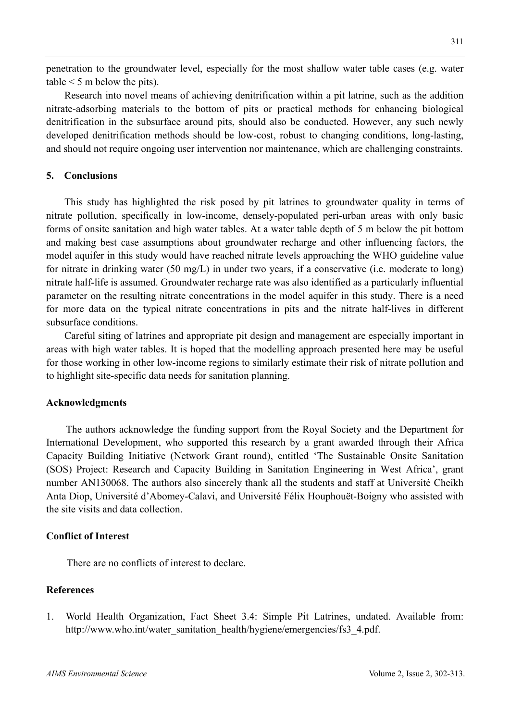penetration to the groundwater level, especially for the most shallow water table cases (e.g. water table  $\leq 5$  m below the pits).

Research into novel means of achieving denitrification within a pit latrine, such as the addition nitrate-adsorbing materials to the bottom of pits or practical methods for enhancing biological denitrification in the subsurface around pits, should also be conducted. However, any such newly developed denitrification methods should be low-cost, robust to changing conditions, long-lasting, and should not require ongoing user intervention nor maintenance, which are challenging constraints.

#### **5. Conclusions**

This study has highlighted the risk posed by pit latrines to groundwater quality in terms of nitrate pollution, specifically in low-income, densely-populated peri-urban areas with only basic forms of onsite sanitation and high water tables. At a water table depth of 5 m below the pit bottom and making best case assumptions about groundwater recharge and other influencing factors, the model aquifer in this study would have reached nitrate levels approaching the WHO guideline value for nitrate in drinking water (50 mg/L) in under two years, if a conservative (i.e. moderate to long) nitrate half-life is assumed. Groundwater recharge rate was also identified as a particularly influential parameter on the resulting nitrate concentrations in the model aquifer in this study. There is a need for more data on the typical nitrate concentrations in pits and the nitrate half-lives in different subsurface conditions.

Careful siting of latrines and appropriate pit design and management are especially important in areas with high water tables. It is hoped that the modelling approach presented here may be useful for those working in other low-income regions to similarly estimate their risk of nitrate pollution and to highlight site-specific data needs for sanitation planning.

#### **Acknowledgments**

The authors acknowledge the funding support from the Royal Society and the Department for International Development, who supported this research by a grant awarded through their Africa Capacity Building Initiative (Network Grant round), entitled 'The Sustainable Onsite Sanitation (SOS) Project: Research and Capacity Building in Sanitation Engineering in West Africa', grant number AN130068. The authors also sincerely thank all the students and staff at Université Cheikh Anta Diop, Université d'Abomey-Calavi, and Université Félix Houphouët-Boigny who assisted with the site visits and data collection.

#### **Conflict of Interest**

There are no conflicts of interest to declare.

#### **References**

1. World Health Organization, Fact Sheet 3.4: Simple Pit Latrines, undated. Available from: http://www.who.int/water\_sanitation\_health/hygiene/emergencies/fs3\_4.pdf.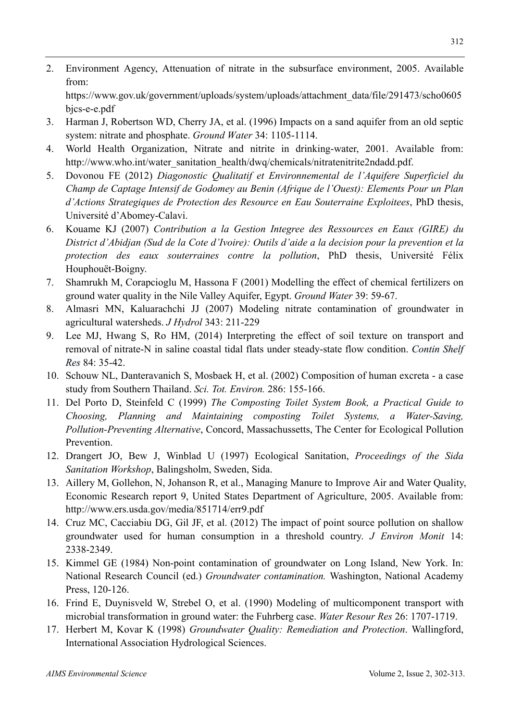2. Environment Agency, Attenuation of nitrate in the subsurface environment, 2005. Available from:

https://www.gov.uk/government/uploads/system/uploads/attachment\_data/file/291473/scho0605 bjcs-e-e.pdf

- 3. Harman J, Robertson WD, Cherry JA, et al. (1996) Impacts on a sand aquifer from an old septic system: nitrate and phosphate. *Ground Water* 34: 1105-1114.
- 4. World Health Organization, Nitrate and nitrite in drinking-water, 2001. Available from: http://www.who.int/water\_sanitation\_health/dwq/chemicals/nitratenitrite2ndadd.pdf.
- 5. Dovonou FE (2012) *Diagonostic Qualitatif et Environnemental de l'Aquifere Superficiel du Champ de Captage Intensif de Godomey au Benin (Afrique de l'Ouest): Elements Pour un Plan d'Actions Strategiques de Protection des Resource en Eau Souterraine Exploitees*, PhD thesis, Université d'Abomey-Calavi.
- 6. Kouame KJ (2007) *Contribution a la Gestion Integree des Ressources en Eaux (GIRE) du District d'Abidjan (Sud de la Cote d'Ivoire): Outils d'aide a la decision pour la prevention et la protection des eaux souterraines contre la pollution*, PhD thesis, Université Félix Houphouët-Boigny.
- 7. Shamrukh M, Corapcioglu M, Hassona F (2001) Modelling the effect of chemical fertilizers on ground water quality in the Nile Valley Aquifer, Egypt. *Ground Water* 39: 59-67.
- 8. Almasri MN, Kaluarachchi JJ (2007) Modeling nitrate contamination of groundwater in agricultural watersheds. *J Hydrol* 343: 211-229
- 9. Lee MJ, Hwang S, Ro HM, (2014) Interpreting the effect of soil texture on transport and removal of nitrate-N in saline coastal tidal flats under steady-state flow condition. *Contin Shelf Res* 84: 35-42.
- 10. Schouw NL, Danteravanich S, Mosbaek H, et al. (2002) Composition of human excreta a case study from Southern Thailand. *Sci. Tot. Environ.* 286: 155-166.
- 11. Del Porto D, Steinfeld C (1999) *The Composting Toilet System Book, a Practical Guide to Choosing, Planning and Maintaining composting Toilet Systems, a Water-Saving, Pollution-Preventing Alternative*, Concord, Massachussetts, The Center for Ecological Pollution Prevention.
- 12. Drangert JO, Bew J, Winblad U (1997) Ecological Sanitation, *Proceedings of the Sida Sanitation Workshop*, Balingsholm, Sweden, Sida.
- 13. Aillery M, Gollehon, N, Johanson R, et al., Managing Manure to Improve Air and Water Quality, Economic Research report 9, United States Department of Agriculture, 2005. Available from: http://www.ers.usda.gov/media/851714/err9.pdf
- 14. Cruz MC, Cacciabiu DG, Gil JF, et al. (2012) The impact of point source pollution on shallow groundwater used for human consumption in a threshold country. *J Environ Monit* 14: 2338-2349.
- 15. Kimmel GE (1984) Non-point contamination of groundwater on Long Island, New York. In: National Research Council (ed.) *Groundwater contamination.* Washington, National Academy Press, 120-126.
- 16. Frind E, Duynisveld W, Strebel O, et al. (1990) Modeling of multicomponent transport with microbial transformation in ground water: the Fuhrberg case. *Water Resour Res* 26: 1707-1719.
- 17. Herbert M, Kovar K (1998) *Groundwater Quality: Remediation and Protection*. Wallingford, International Association Hydrological Sciences.